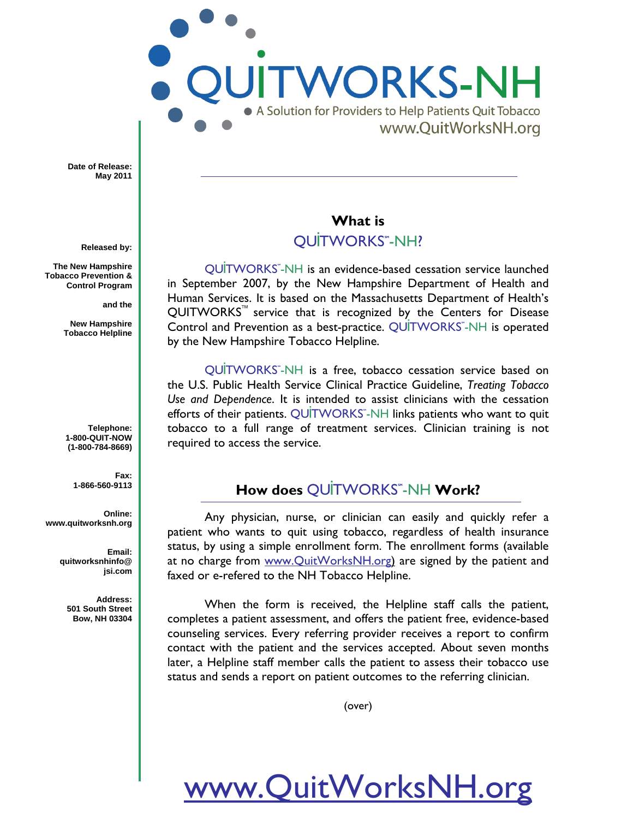A Solution for Providers to Help Patients Quit Tobacco www.QuitWorksNH.org

**WORKS-NH** 

**Date of Release: May 2011**

**Released by:**

 **The New Hampshire Tobacco Prevention & Control Program**

**and the**

**New Hampshire Tobacco Helpline**

**Telephone: 1-800-QUIT-NOW (1-800-784-8669)**

> **Fax: 1-866-560-9113**

**Online: www.quitworksnh.org**

> **Email: quitworksnhinfo@ jsi.com**

**Address: 501 South Street Bow, NH 03304**

#### **What is**

#### **OUİTWORKS**"-NH?

QU**i**TWORKS**SM**-NH is an evidence-based cessation service launched in September 2007, by the New Hampshire Department of Health and Human Services. It is based on the Massachusetts Department of Health's QUITWORKS<sup>"</sup> service that is recognized by the Centers for Disease Control and Prevention as a best-practice. QUITWORKS<sup>"</sup>-NH is operated by the New Hampshire Tobacco Helpline.

QUITWORKS<sup>®</sup>-NH is a free, tobacco cessation service based on the U.S. Public Health Service Clinical Practice Guideline, *Treating Tobacco Use and Dependence*. It is intended to assist clinicians with the cessation efforts of their patients. QUITWORKS<sup>-</sup>-NH links patients who want to quit tobacco to a full range of treatment services. Clinician training is not required to access the service.

#### **How does QUITWORKS**"-NH Work?

Any physician, nurse, or clinician can easily and quickly refer a patient who wants to quit using tobacco, regardless of health insurance status, by using a simple enrollment form. The enrollment forms (available at no charge from www.QuitWorksNH.org) are signed by the patient and faxed or e-refered to the NH Tobacco Helpline.

When the form is received, the Helpline staff calls the patient, completes a patient assessment, and offers the patient free, evidence-based counseling services. Every referring provider receives a report to confirm contact with the patient and the services accepted. About seven months later, a Helpline staff member calls the patient to assess their tobacco use status and sends a report on patient outcomes to the referring clinician.

(over)

# www.QuitWorksNH.org